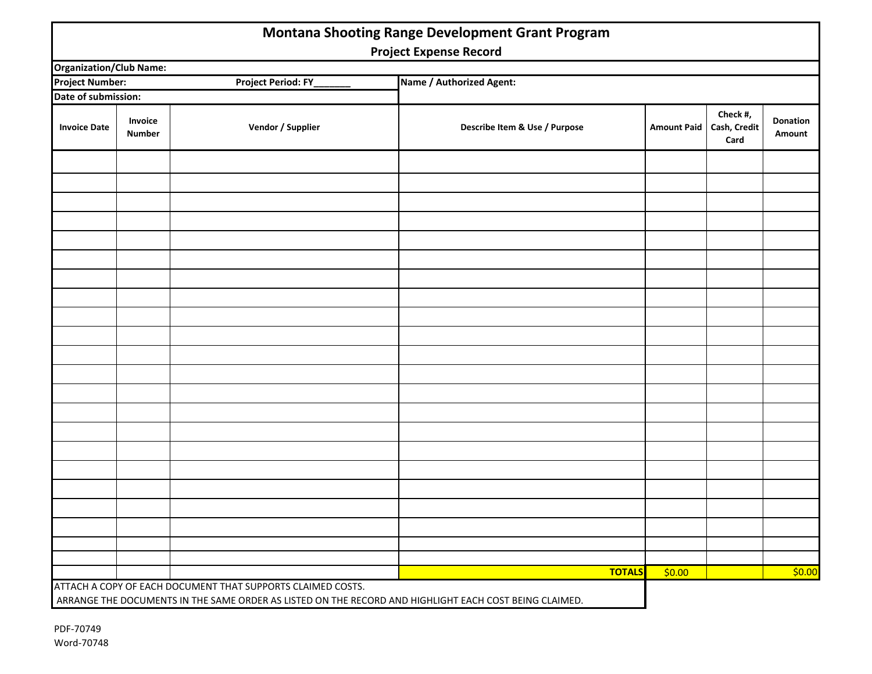| <b>Montana Shooting Range Development Grant Program</b><br><b>Project Expense Record</b> |                          |                                                             |                                                                                                        |               |                    |                                  |                           |  |
|------------------------------------------------------------------------------------------|--------------------------|-------------------------------------------------------------|--------------------------------------------------------------------------------------------------------|---------------|--------------------|----------------------------------|---------------------------|--|
| <b>Organization/Club Name:</b>                                                           |                          |                                                             |                                                                                                        |               |                    |                                  |                           |  |
| <b>Project Period: FY_</b><br><b>Project Number:</b>                                     |                          |                                                             | Name / Authorized Agent:                                                                               |               |                    |                                  |                           |  |
| Date of submission:                                                                      |                          |                                                             |                                                                                                        |               |                    |                                  |                           |  |
| <b>Invoice Date</b>                                                                      | Invoice<br><b>Number</b> | Vendor / Supplier                                           | Describe Item & Use / Purpose                                                                          |               | <b>Amount Paid</b> | Check #,<br>Cash, Credit<br>Card | <b>Donation</b><br>Amount |  |
|                                                                                          |                          |                                                             |                                                                                                        |               |                    |                                  |                           |  |
|                                                                                          |                          |                                                             |                                                                                                        |               |                    |                                  |                           |  |
|                                                                                          |                          |                                                             |                                                                                                        |               |                    |                                  |                           |  |
|                                                                                          |                          |                                                             |                                                                                                        |               |                    |                                  |                           |  |
|                                                                                          |                          |                                                             |                                                                                                        |               |                    |                                  |                           |  |
|                                                                                          |                          |                                                             |                                                                                                        |               |                    |                                  |                           |  |
|                                                                                          |                          |                                                             |                                                                                                        |               |                    |                                  |                           |  |
|                                                                                          |                          |                                                             |                                                                                                        |               |                    |                                  |                           |  |
|                                                                                          |                          |                                                             |                                                                                                        |               |                    |                                  |                           |  |
|                                                                                          |                          |                                                             |                                                                                                        |               |                    |                                  |                           |  |
|                                                                                          |                          |                                                             |                                                                                                        |               |                    |                                  |                           |  |
|                                                                                          |                          |                                                             |                                                                                                        |               |                    |                                  |                           |  |
|                                                                                          |                          |                                                             |                                                                                                        |               |                    |                                  |                           |  |
|                                                                                          |                          |                                                             |                                                                                                        |               |                    |                                  |                           |  |
|                                                                                          |                          |                                                             |                                                                                                        |               |                    |                                  |                           |  |
|                                                                                          |                          |                                                             |                                                                                                        |               |                    |                                  |                           |  |
|                                                                                          |                          |                                                             |                                                                                                        |               |                    |                                  |                           |  |
|                                                                                          |                          |                                                             |                                                                                                        |               |                    |                                  |                           |  |
|                                                                                          |                          |                                                             |                                                                                                        |               |                    |                                  |                           |  |
|                                                                                          |                          |                                                             |                                                                                                        | <b>TOTALS</b> | \$0.00             |                                  | \$0.00                    |  |
|                                                                                          |                          | ATTACH A COPY OF EACH DOCUMENT THAT SUPPORTS CLAIMED COSTS. | ARRANGE THE DOCUMENTS IN THE SAME ORDER AS LISTED ON THE RECORD AND HIGHLIGHT EACH COST BEING CLAIMED. |               |                    |                                  |                           |  |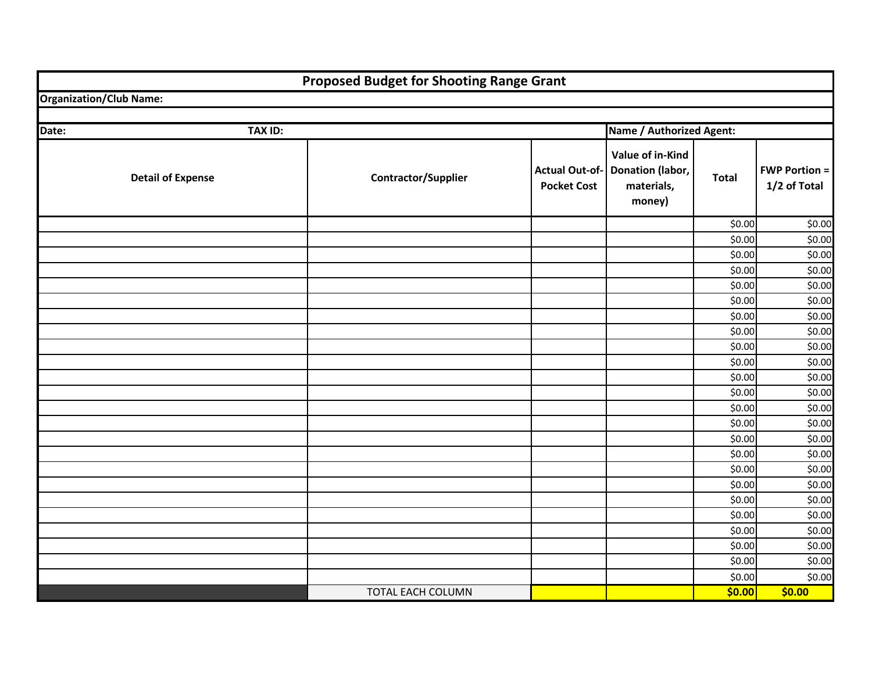|       |                                | <b>Proposed Budget for Shooting Range Grant</b> |                                             |                                                              |              |                                      |  |
|-------|--------------------------------|-------------------------------------------------|---------------------------------------------|--------------------------------------------------------------|--------------|--------------------------------------|--|
|       | <b>Organization/Club Name:</b> |                                                 |                                             |                                                              |              |                                      |  |
|       |                                |                                                 |                                             |                                                              |              |                                      |  |
| Date: | <b>TAX ID:</b>                 |                                                 |                                             | Name / Authorized Agent:                                     |              |                                      |  |
|       | <b>Detail of Expense</b>       | <b>Contractor/Supplier</b>                      | <b>Actual Out-of-</b><br><b>Pocket Cost</b> | Value of in-Kind<br>Donation (labor,<br>materials,<br>money) | <b>Total</b> | <b>FWP Portion =</b><br>1/2 of Total |  |
|       |                                |                                                 |                                             |                                                              | \$0.00       | \$0.00                               |  |
|       |                                |                                                 |                                             |                                                              | \$0.00       | \$0.00                               |  |
|       |                                |                                                 |                                             |                                                              | \$0.00       | \$0.00                               |  |
|       |                                |                                                 |                                             |                                                              | \$0.00       | \$0.00                               |  |
|       |                                |                                                 |                                             |                                                              | \$0.00       | \$0.00                               |  |
|       |                                |                                                 |                                             |                                                              | \$0.00       | \$0.00                               |  |
|       |                                |                                                 |                                             |                                                              | \$0.00       | \$0.00                               |  |
|       |                                |                                                 |                                             |                                                              | \$0.00       | \$0.00                               |  |
|       |                                |                                                 |                                             |                                                              | \$0.00       | \$0.00                               |  |
|       |                                |                                                 |                                             |                                                              | \$0.00       | \$0.00                               |  |
|       |                                |                                                 |                                             |                                                              | \$0.00       | \$0.00                               |  |
|       |                                |                                                 |                                             |                                                              | \$0.00       | \$0.00                               |  |
|       |                                |                                                 |                                             |                                                              | \$0.00       | \$0.00                               |  |
|       |                                |                                                 |                                             |                                                              | \$0.00       | \$0.00                               |  |
|       |                                |                                                 |                                             |                                                              | \$0.00       | \$0.00                               |  |
|       |                                |                                                 |                                             |                                                              | \$0.00       | \$0.00                               |  |
|       |                                |                                                 |                                             |                                                              | \$0.00       | \$0.00                               |  |
|       |                                |                                                 |                                             |                                                              | \$0.00       | \$0.00                               |  |
|       |                                |                                                 |                                             |                                                              | \$0.00       | \$0.00                               |  |
|       |                                |                                                 |                                             |                                                              | \$0.00       | \$0.00                               |  |
|       |                                |                                                 |                                             |                                                              | \$0.00       | \$0.00                               |  |
|       |                                |                                                 |                                             |                                                              | \$0.00       | \$0.00                               |  |
|       |                                |                                                 |                                             |                                                              | \$0.00       | \$0.00                               |  |
|       |                                |                                                 |                                             |                                                              | \$0.00       | \$0.00                               |  |
|       |                                | TOTAL EACH COLUMN                               |                                             |                                                              | \$0.00       | \$0.00                               |  |